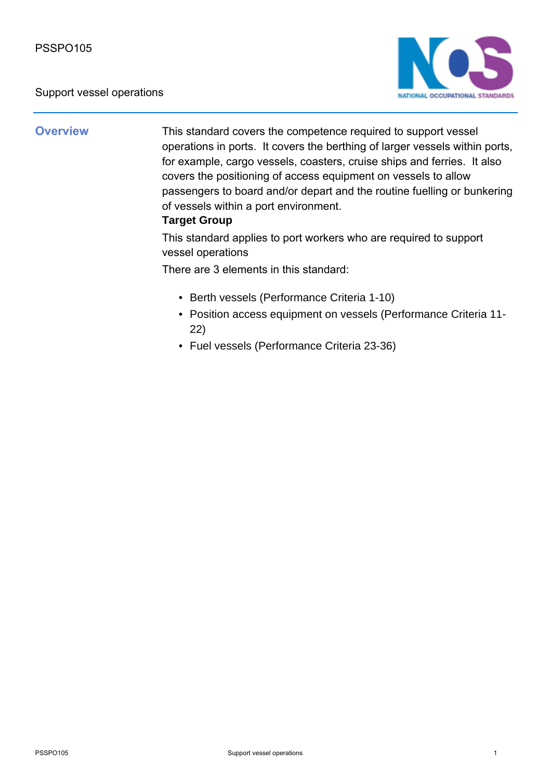#### Support vessel operations



**Overview** This standard covers the competence required to support vessel operations in ports. It covers the berthing of larger vessels within ports, for example, cargo vessels, coasters, cruise ships and ferries. It also covers the positioning of access equipment on vessels to allow passengers to board and/or depart and the routine fuelling or bunkering of vessels within a port environment.

### **Target Group**

This standard applies to port workers who are required to support vessel operations

There are 3 elements in this standard:

- Berth vessels (Performance Criteria 1-10)
- Position access equipment on vessels (Performance Criteria 11-22)
- Fuel vessels (Performance Criteria 23-36)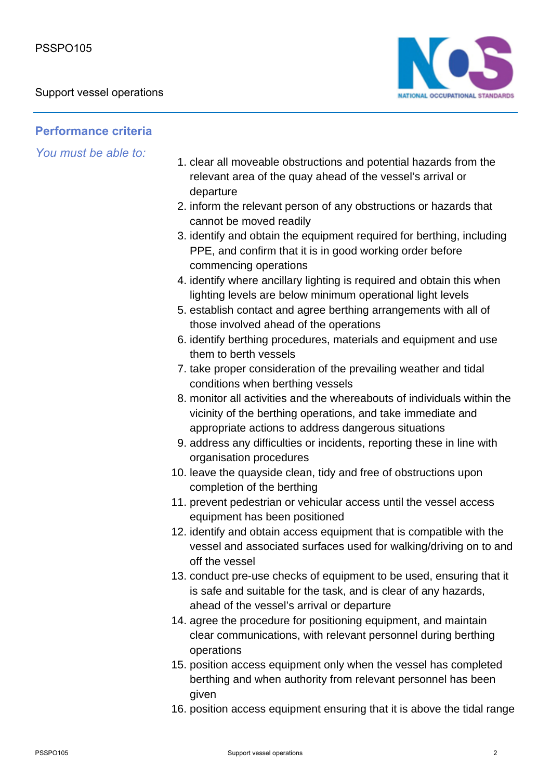

## **Performance criteria**

*You must be able to:*

- 1. clear all moveable obstructions and potential hazards from the relevant area of the quay ahead of the vessel's arrival or departure
- 2. inform the relevant person of any obstructions or hazards that cannot be moved readily
- 3. identify and obtain the equipment required for berthing, including PPE, and confirm that it is in good working order before commencing operations
- 4. identify where ancillary lighting is required and obtain this when lighting levels are below minimum operational light levels
- 5. establish contact and agree berthing arrangements with all of those involved ahead of the operations
- 6. identify berthing procedures, materials and equipment and use them to berth vessels
- 7. take proper consideration of the prevailing weather and tidal conditions when berthing vessels
- monitor all activities and the whereabouts of individuals within the 8. vicinity of the berthing operations, and take immediate and appropriate actions to address dangerous situations
- 9. address any difficulties or incidents, reporting these in line with organisation procedures
- 10. leave the quayside clean, tidy and free of obstructions upon completion of the berthing
- 11. prevent pedestrian or vehicular access until the vessel access equipment has been positioned
- 12. identify and obtain access equipment that is compatible with the vessel and associated surfaces used for walking/driving on to and off the vessel
- 13. conduct pre-use checks of equipment to be used, ensuring that it is safe and suitable for the task, and is clear of any hazards, ahead of the vessel's arrival or departure
- 14. agree the procedure for positioning equipment, and maintain clear communications, with relevant personnel during berthing operations
- 15. position access equipment only when the vessel has completed berthing and when authority from relevant personnel has been given
- 16. position access equipment ensuring that it is above the tidal range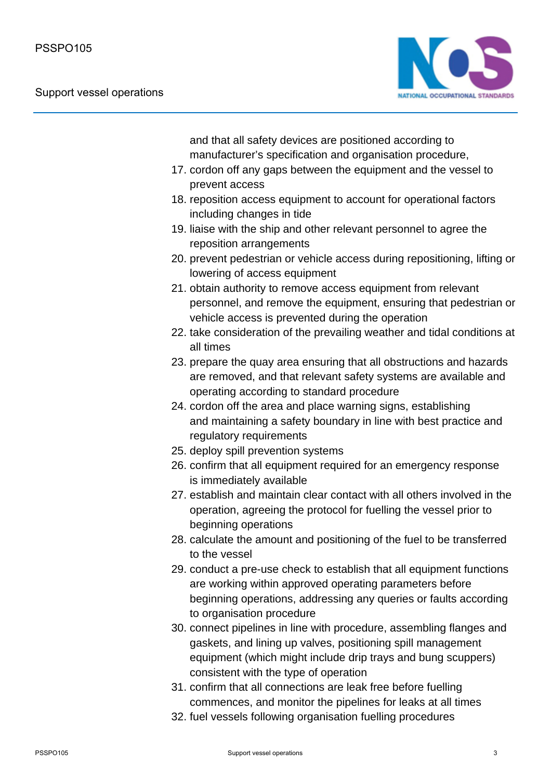

and that all safety devices are positioned according to manufacturer's specification and organisation procedure,

- 17. cordon off any gaps between the equipment and the vessel to prevent access
- 18. reposition access equipment to account for operational factors including changes in tide
- 19. liaise with the ship and other relevant personnel to agree the reposition arrangements
- 20. prevent pedestrian or vehicle access during repositioning, lifting or lowering of access equipment
- 21. obtain authority to remove access equipment from relevant personnel, and remove the equipment, ensuring that pedestrian or vehicle access is prevented during the operation
- 22. take consideration of the prevailing weather and tidal conditions at all times
- 23. prepare the quay area ensuring that all obstructions and hazards are removed, and that relevant safety systems are available and operating according to standard procedure
- 24. cordon off the area and place warning signs, establishing and maintaining a safety boundary in line with best practice and regulatory requirements
- 25. deploy spill prevention systems
- 26. confirm that all equipment required for an emergency response is immediately available
- 27. establish and maintain clear contact with all others involved in the operation, agreeing the protocol for fuelling the vessel prior to beginning operations
- 28. calculate the amount and positioning of the fuel to be transferred to the vessel
- 29. conduct a pre-use check to establish that all equipment functions are working within approved operating parameters before beginning operations, addressing any queries or faults according to organisation procedure
- 30. connect pipelines in line with procedure, assembling flanges and gaskets, and lining up valves, positioning spill management equipment (which might include drip trays and bung scuppers) consistent with the type of operation
- 31. confirm that all connections are leak free before fuelling commences, and monitor the pipelines for leaks at all times
- 32. fuel vessels following organisation fuelling procedures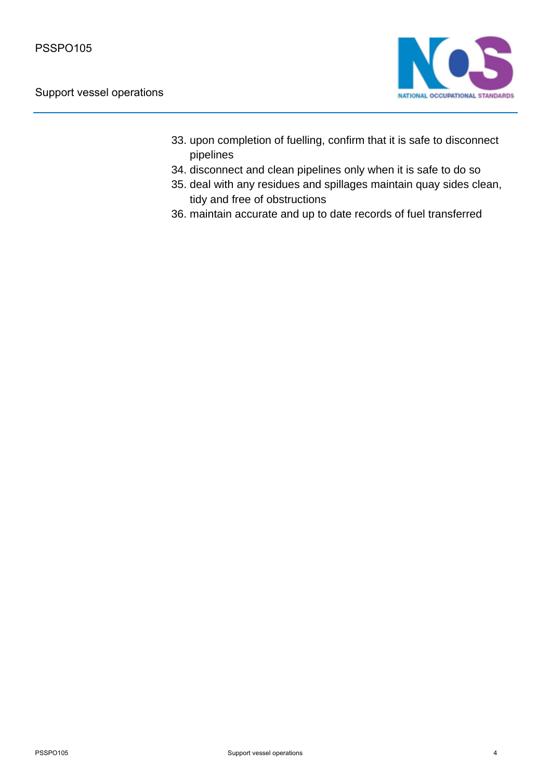

- 33. upon completion of fuelling, confirm that it is safe to disconnect pipelines
- 34. disconnect and clean pipelines only when it is safe to do so
- 35. deal with any residues and spillages maintain quay sides clean, tidy and free of obstructions
- 36. maintain accurate and up to date records of fuel transferred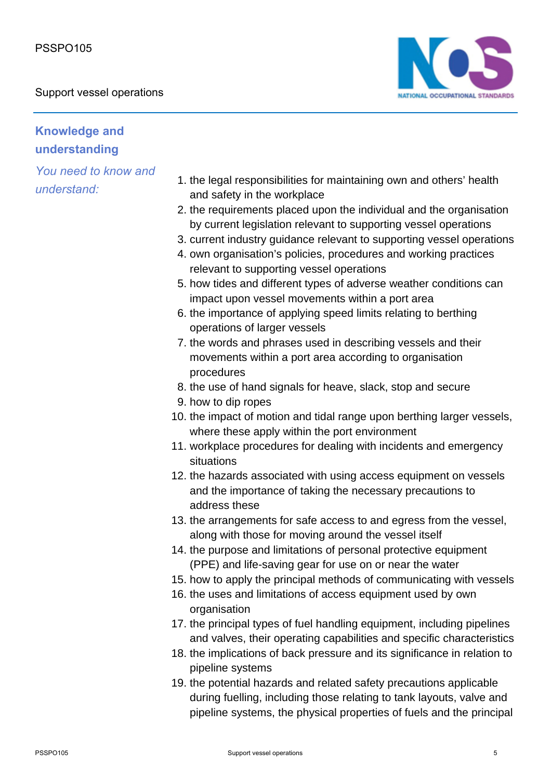Support vessel operations



## **Knowledge and understanding**

*You need to know and understand:*

- 1. the legal responsibilities for maintaining own and others' health and safety in the workplace
- 2. the requirements placed upon the individual and the organisation by current legislation relevant to supporting vessel operations
- 3. current industry guidance relevant to supporting vessel operations
- 4. own organisation's policies, procedures and working practices relevant to supporting vessel operations
- 5. how tides and different types of adverse weather conditions can impact upon vessel movements within a port area
- 6. the importance of applying speed limits relating to berthing operations of larger vessels
- 7. the words and phrases used in describing vessels and their movements within a port area according to organisation procedures
- 8. the use of hand signals for heave, slack, stop and secure
- 9. how to dip ropes
- 10. the impact of motion and tidal range upon berthing larger vessels, where these apply within the port environment
- 11. workplace procedures for dealing with incidents and emergency situations
- 12. the hazards associated with using access equipment on vessels and the importance of taking the necessary precautions to address these
- 13. the arrangements for safe access to and egress from the vessel, along with those for moving around the vessel itself
- 14. the purpose and limitations of personal protective equipment (PPE) and life-saving gear for use on or near the water
- 15. how to apply the principal methods of communicating with vessels
- 16. the uses and limitations of access equipment used by own organisation
- 17. the principal types of fuel handling equipment, including pipelines and valves, their operating capabilities and specific characteristics
- 18. the implications of back pressure and its significance in relation to pipeline systems
- 19. the potential hazards and related safety precautions applicable during fuelling, including those relating to tank layouts, valve and pipeline systems, the physical properties of fuels and the principal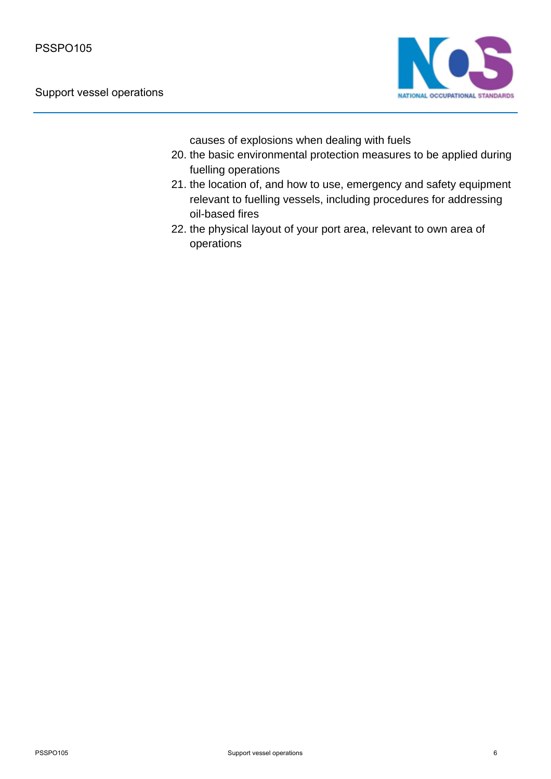

causes of explosions when dealing with fuels

- 20. the basic environmental protection measures to be applied during fuelling operations
- 21. the location of, and how to use, emergency and safety equipment relevant to fuelling vessels, including procedures for addressing oil-based fires
- 22. the physical layout of your port area, relevant to own area of operations